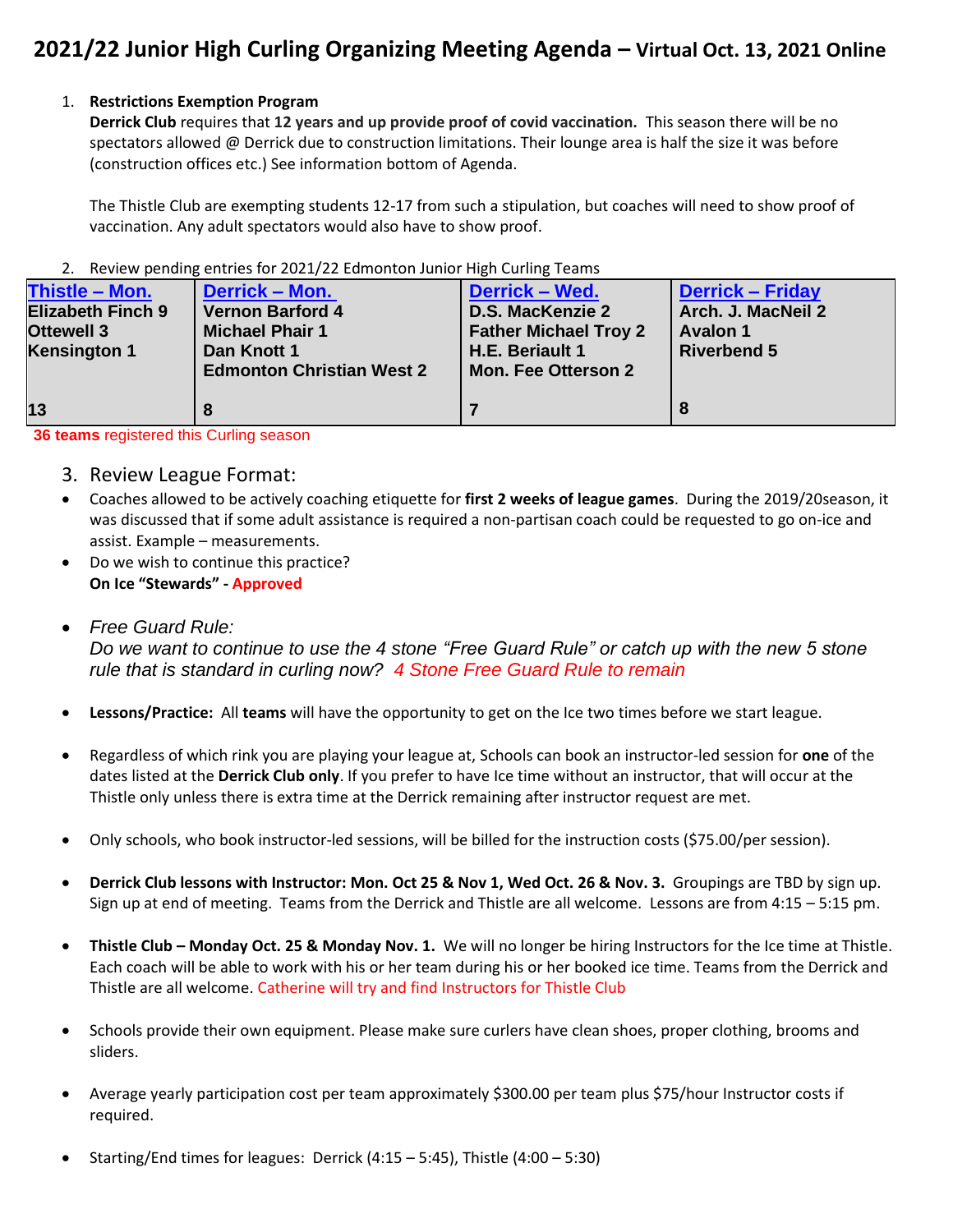## **2021/22 Junior High Curling Organizing Meeting Agenda – Virtual Oct. 13, 2021 Online**

#### 1. **Restrictions Exemption Program**

**Derrick Club** requires that **12 years and up provide proof of covid vaccination.** This season there will be no spectators allowed @ Derrick due to construction limitations. Their lounge area is half the size it was before (construction offices etc.) See information bottom of Agenda.

The Thistle Club are exempting students 12-17 from such a stipulation, but coaches will need to show proof of vaccination. Any adult spectators would also have to show proof.

#### 2. Review pending entries for 2021/22 Edmonton Junior High Curling Teams

| Thistle - Mon.<br><b>Elizabeth Finch 9</b><br><b>Ottewell 3</b><br><b>Kensington 1</b> | Derrick - Mon.<br><b>Vernon Barford 4</b><br><b>Michael Phair 1</b><br>Dan Knott 1<br><b>Edmonton Christian West 2</b> | <b>Derrick - Wed.</b><br><b>D.S. MacKenzie 2</b><br><b>Father Michael Troy 2</b><br>H.E. Beriault 1<br><b>Mon. Fee Otterson 2</b> | <b>Derrick - Friday</b><br>Arch. J. MacNeil 2<br><b>Avalon 1</b><br><b>Riverbend 5</b> |
|----------------------------------------------------------------------------------------|------------------------------------------------------------------------------------------------------------------------|-----------------------------------------------------------------------------------------------------------------------------------|----------------------------------------------------------------------------------------|
| 13                                                                                     |                                                                                                                        |                                                                                                                                   |                                                                                        |

**36 teams** registered this Curling season

- 3. Review League Format:
- Coaches allowed to be actively coaching etiquette for **first 2 weeks of league games**. During the 2019/20season, it was discussed that if some adult assistance is required a non-partisan coach could be requested to go on-ice and assist. Example – measurements.
- Do we wish to continue this practice? **On Ice "Stewards" - Approved**
- *Free Guard Rule: Do we want to continue to use the 4 stone "Free Guard Rule" or catch up with the new 5 stone rule that is standard in curling now? 4 Stone Free Guard Rule to remain*
- **Lessons/Practice:** All **teams** will have the opportunity to get on the Ice two times before we start league.
- Regardless of which rink you are playing your league at, Schools can book an instructor-led session for **one** of the dates listed at the **Derrick Club only**. If you prefer to have Ice time without an instructor, that will occur at the Thistle only unless there is extra time at the Derrick remaining after instructor request are met.
- Only schools, who book instructor-led sessions, will be billed for the instruction costs (\$75.00/per session).
- **Derrick Club lessons with Instructor: Mon. Oct 25 & Nov 1, Wed Oct. 26 & Nov. 3.** Groupings are TBD by sign up. Sign up at end of meeting. Teams from the Derrick and Thistle are all welcome. Lessons are from 4:15 – 5:15 pm.
- **Thistle Club – Monday Oct. 25 & Monday Nov. 1.** We will no longer be hiring Instructors for the Ice time at Thistle. Each coach will be able to work with his or her team during his or her booked ice time. Teams from the Derrick and Thistle are all welcome. Catherine will try and find Instructors for Thistle Club
- Schools provide their own equipment. Please make sure curlers have clean shoes, proper clothing, brooms and sliders.
- Average yearly participation cost per team approximately \$300.00 per team plus \$75/hour Instructor costs if required.
- Starting/End times for leagues: Derrick (4:15 5:45), Thistle (4:00 5:30)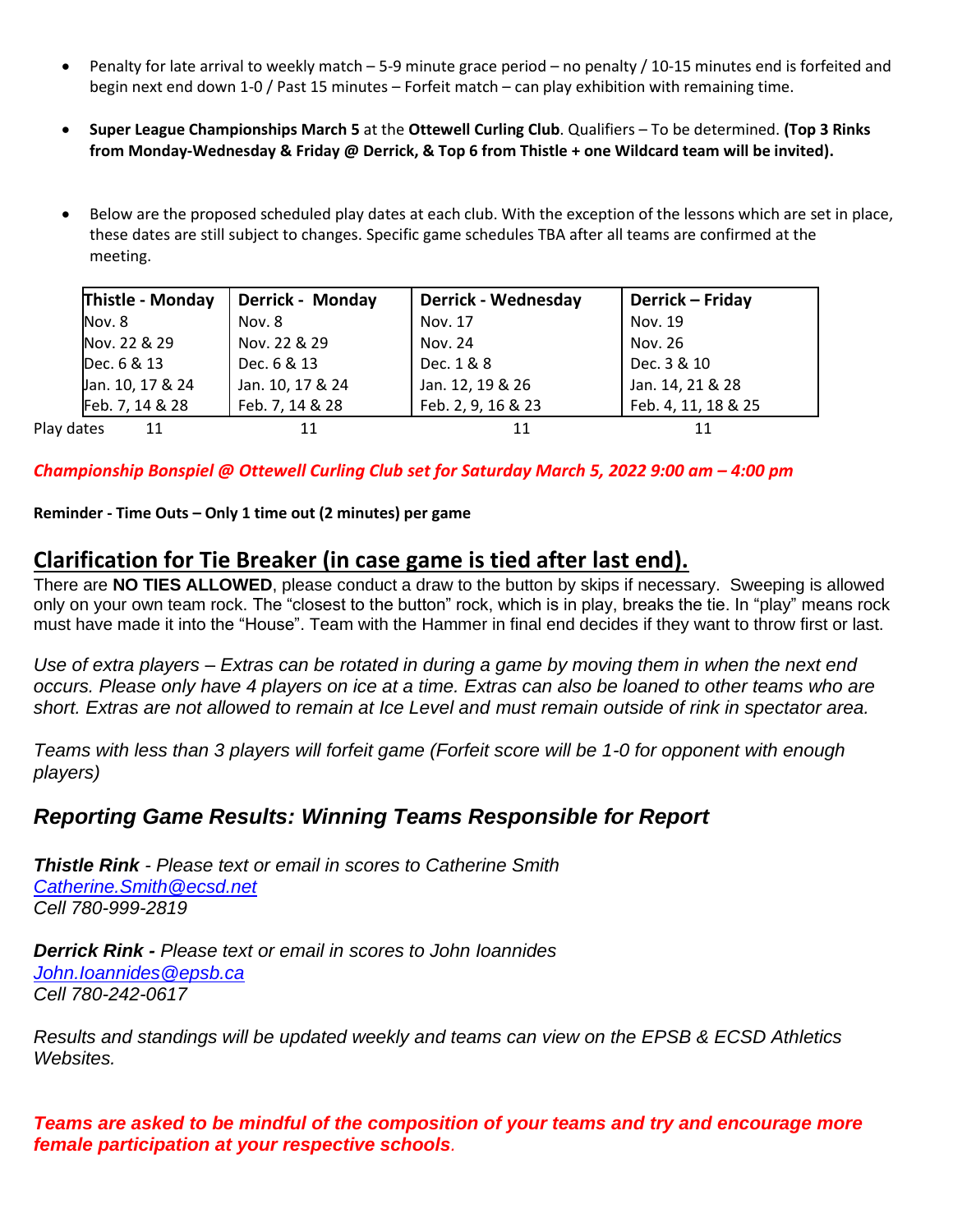- Penalty for late arrival to weekly match 5-9 minute grace period no penalty / 10-15 minutes end is forfeited and begin next end down 1-0 / Past 15 minutes – Forfeit match – can play exhibition with remaining time.
- **Super League Championships March 5** at the **Ottewell Curling Club**. Qualifiers To be determined. **(Top 3 Rinks from Monday-Wednesday & Friday @ Derrick, & Top 6 from Thistle + one Wildcard team will be invited).**
- Below are the proposed scheduled play dates at each club. With the exception of the lessons which are set in place, these dates are still subject to changes. Specific game schedules TBA after all teams are confirmed at the meeting.

| Thistle - Monday | <b>Derrick - Monday</b> | <b>Derrick - Wednesday</b> | Derrick - Friday    |
|------------------|-------------------------|----------------------------|---------------------|
| Nov. 8           | Nov. 8                  | Nov. 17                    | Nov. 19             |
| Nov. 22 & 29     | Nov. 22 & 29            | Nov. 24                    | Nov. 26             |
| Dec. 6 & 13      | Dec. 6 & 13             | Dec. 1 & 8                 | Dec. 3 & 10         |
| Jan. 10, 17 & 24 | Jan. 10, 17 & 24        | Jan. 12, 19 & 26           | Jan. 14, 21 & 28    |
| Feb. 7, 14 & 28  | Feb. 7, 14 & 28         | Feb. 2, 9, 16 & 23         | Feb. 4, 11, 18 & 25 |
| Play dates<br>11 |                         |                            |                     |

*Championship Bonspiel @ Ottewell Curling Club set for Saturday March 5, 2022 9:00 am – 4:00 pm*

**Reminder - Time Outs – Only 1 time out (2 minutes) per game**

## **Clarification for Tie Breaker (in case game is tied after last end).**

There are **NO TIES ALLOWED**, please conduct a draw to the button by skips if necessary. Sweeping is allowed only on your own team rock. The "closest to the button" rock, which is in play, breaks the tie. In "play" means rock must have made it into the "House". Team with the Hammer in final end decides if they want to throw first or last.

*Use of extra players – Extras can be rotated in during a game by moving them in when the next end occurs. Please only have 4 players on ice at a time. Extras can also be loaned to other teams who are short. Extras are not allowed to remain at Ice Level and must remain outside of rink in spectator area.*

*Teams with less than 3 players will forfeit game (Forfeit score will be 1-0 for opponent with enough players)*

## *Reporting Game Results: Winning Teams Responsible for Report*

*Thistle Rink - Please text or email in scores to Catherine Smith [Catherine.Smith@ecsd.net](mailto:Catherine.Smith@ecsd.net) Cell 780-999-2819*

*Derrick Rink - Please text or email in scores to John Ioannides [John.Ioannides@epsb.ca](mailto:John.Ioannides@epsb.ca) Cell 780-242-0617*

*Results and standings will be updated weekly and teams can view on the EPSB & ECSD Athletics Websites.* 

*Teams are asked to be mindful of the composition of your teams and try and encourage more female participation at your respective schools.*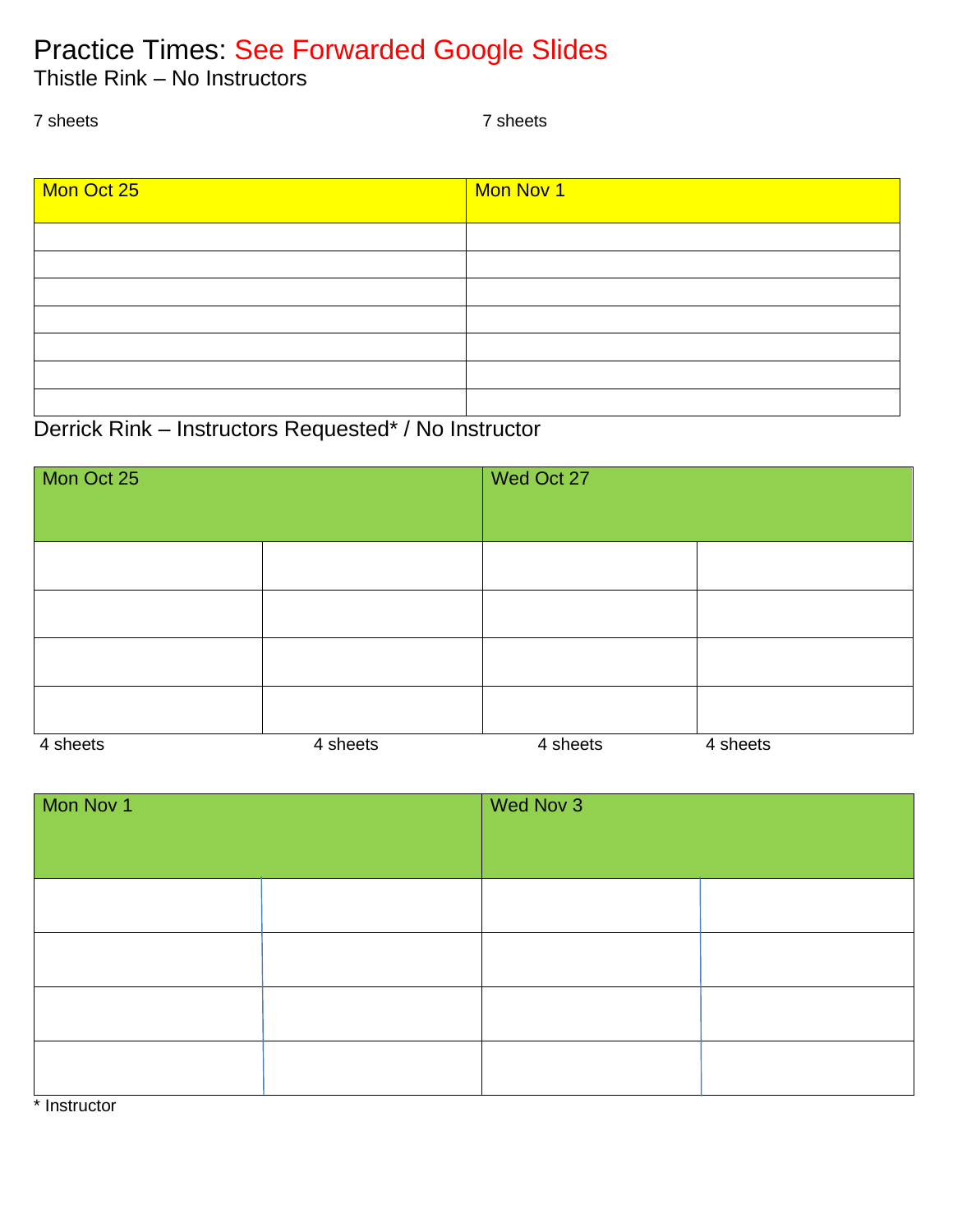# Practice Times: See Forwarded Google Slides

Thistle Rink – No Instructors

7 sheets 7 sheets

| Mon Oct 25 | Mon Nov 1 |
|------------|-----------|
|            |           |
|            |           |
|            |           |
|            |           |
|            |           |
|            |           |
|            |           |

# Derrick Rink – Instructors Requested\* / No Instructor

| Mon Oct 25 |          | Wed Oct 27 |          |
|------------|----------|------------|----------|
|            |          |            |          |
|            |          |            |          |
|            |          |            |          |
|            |          |            |          |
|            |          |            |          |
| 4 sheets   | 4 sheets | 4 sheets   | 4 sheets |

| Mon Nov 1 |  | Wed Nov 3 |  |
|-----------|--|-----------|--|
|           |  |           |  |
|           |  |           |  |
|           |  |           |  |
|           |  |           |  |
|           |  |           |  |

\* Instructor